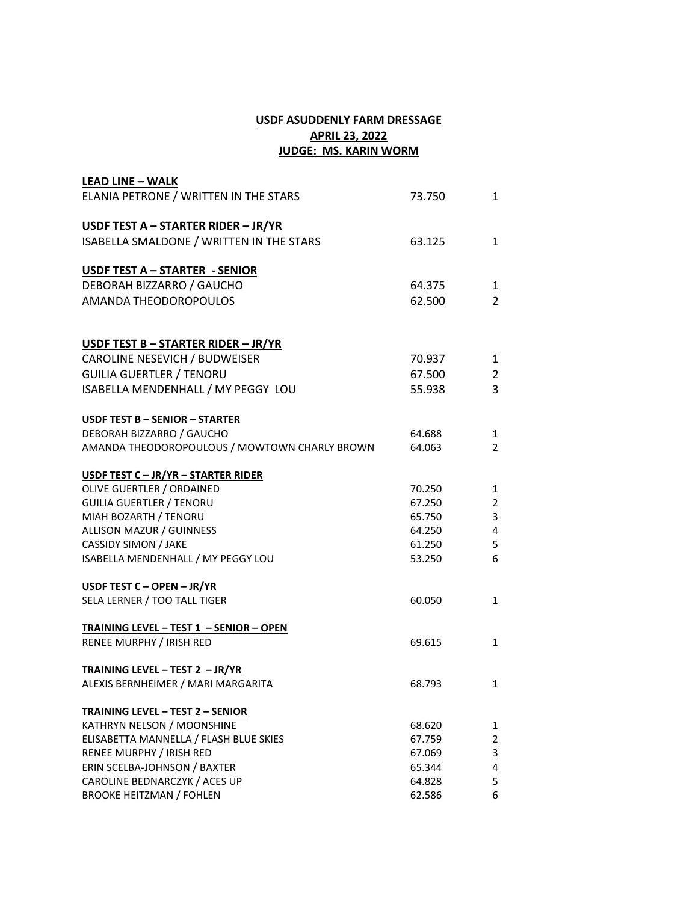## **USDF ASUDDENLY FARM DRESSAGE APRIL 23, 2022 JUDGE: MS. KARIN WORM**

| <b>LEAD LINE - WALK</b>                        |        |                |
|------------------------------------------------|--------|----------------|
| ELANIA PETRONE / WRITTEN IN THE STARS          | 73.750 | 1              |
| USDF TEST A - STARTER RIDER - JR/YR            |        |                |
| ISABELLA SMALDONE / WRITTEN IN THE STARS       | 63.125 | $\mathbf{1}$   |
| <b>USDF TEST A - STARTER - SENIOR</b>          |        |                |
| DEBORAH BIZZARRO / GAUCHO                      | 64.375 | 1              |
| AMANDA THEODOROPOULOS                          | 62.500 | $\overline{2}$ |
| USDF TEST B - STARTER RIDER - JR/YR            |        |                |
| CAROLINE NESEVICH / BUDWEISER                  | 70.937 | 1              |
| <b>GUILIA GUERTLER / TENORU</b>                | 67.500 | $\overline{2}$ |
| ISABELLA MENDENHALL / MY PEGGY LOU             | 55.938 | 3              |
| USDF TEST B - SENIOR - STARTER                 |        |                |
| DEBORAH BIZZARRO / GAUCHO                      | 64.688 | 1              |
| AMANDA THEODOROPOULOUS / MOWTOWN CHARLY BROWN  | 64.063 | $\overline{2}$ |
| USDF TEST C - JR/YR - STARTER RIDER            |        |                |
| OLIVE GUERTLER / ORDAINED                      | 70.250 | 1              |
| <b>GUILIA GUERTLER / TENORU</b>                | 67.250 | 2              |
| MIAH BOZARTH / TENORU                          | 65.750 | 3              |
| ALLISON MAZUR / GUINNESS                       | 64.250 | 4              |
| CASSIDY SIMON / JAKE                           | 61.250 | 5              |
| ISABELLA MENDENHALL / MY PEGGY LOU             | 53.250 | 6              |
| USDF TEST C - OPEN - JR/YR                     |        |                |
| SELA LERNER / TOO TALL TIGER                   | 60.050 | $\mathbf{1}$   |
| <b>TRAINING LEVEL - TEST 1 - SENIOR - OPEN</b> |        |                |
| RENEE MURPHY / IRISH RED                       | 69.615 | $\mathbf{1}$   |
| TRAINING LEVEL - TEST 2 - JR/YR                |        |                |
| ALEXIS BERNHEIMER / MARI MARGARITA             | 68.793 | 1              |
| <b>TRAINING LEVEL - TEST 2 - SENIOR</b>        |        |                |
| KATHRYN NELSON / MOONSHINE                     | 68.620 | 1              |
| ELISABETTA MANNELLA / FLASH BLUE SKIES         | 67.759 | 2              |
| RENEE MURPHY / IRISH RED                       | 67.069 | 3              |
| ERIN SCELBA-JOHNSON / BAXTER                   | 65.344 | 4              |
| CAROLINE BEDNARCZYK / ACES UP                  | 64.828 | 5              |
| <b>BROOKE HEITZMAN / FOHLEN</b>                | 62.586 | 6              |